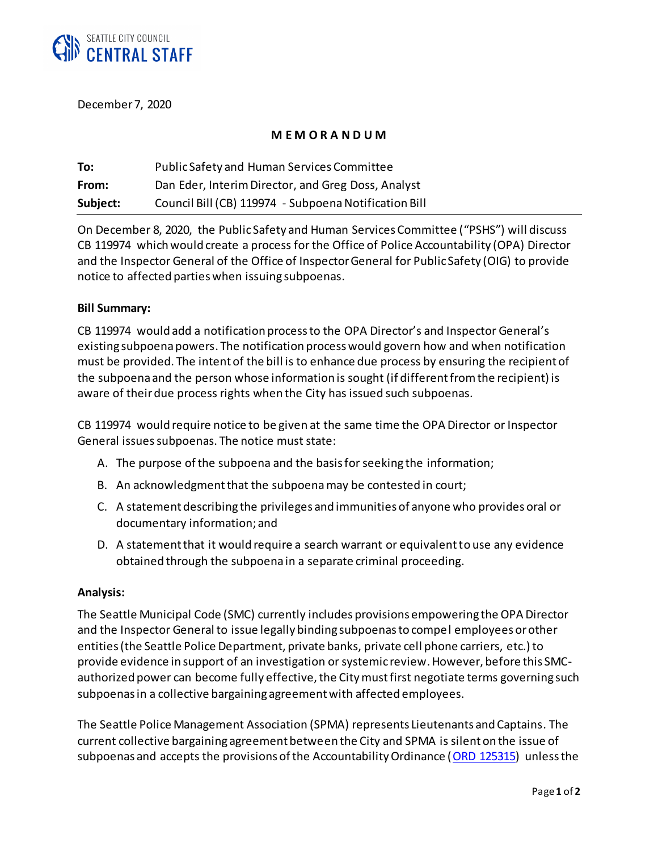

December 7, 2020

## **M E M O R A N D U M**

| To:      | Public Safety and Human Services Committee            |
|----------|-------------------------------------------------------|
| From:    | Dan Eder, Interim Director, and Greg Doss, Analyst    |
| Subject: | Council Bill (CB) 119974 - Subpoena Notification Bill |

On December 8, 2020, the Public Safety and Human Services Committee ("PSHS") will discuss CB 119974 which would create a process for the Office of Police Accountability (OPA) Director and the Inspector General of the Office of Inspector General for Public Safety (OIG) to provide notice to affected parties when issuing subpoenas.

### **Bill Summary:**

CB 119974 would add a notification process to the OPA Director's and Inspector General's existing subpoena powers. The notification process would govern how and when notification must be provided. The intent of the bill is to enhance due process by ensuring the recipient of the subpoena and the person whose information is sought (if different from the recipient) is aware of their due process rights when the City has issued such subpoenas.

CB 119974 would require notice to be given at the same time the OPA Director or Inspector General issues subpoenas. The notice must state:

- A. The purpose of the subpoena and the basis for seeking the information;
- B. An acknowledgment that the subpoenamay be contested in court;
- C. A statement describing the privileges and immunities of anyone who provides oral or documentary information; and
- D. A statement that it would require a search warrant or equivalent to use any evidence obtained through the subpoena in a separate criminal proceeding.

### **Analysis:**

The Seattle Municipal Code (SMC) currently includes provisions empowering the OPA Director and the Inspector General to issue legally binding subpoenas to compel employees or other entities (the Seattle Police Department, private banks, private cell phone carriers, etc.) to provide evidence in support of an investigation or systemic review. However, before this SMCauthorized power can become fully effective, the City must first negotiate terms governing such subpoenas in a collective bargaining agreement with affected employees.

The Seattle Police Management Association (SPMA) represents Lieutenants and Captains. The current collective bargaining agreement between the City and SPMA is silent on the issue of subpoenas and accepts the provisions of the Accountability Ordinance (ORD [125315\)](http://clerk.seattle.gov/~archives/Ordinances/Ord_125315.pdf) unless the